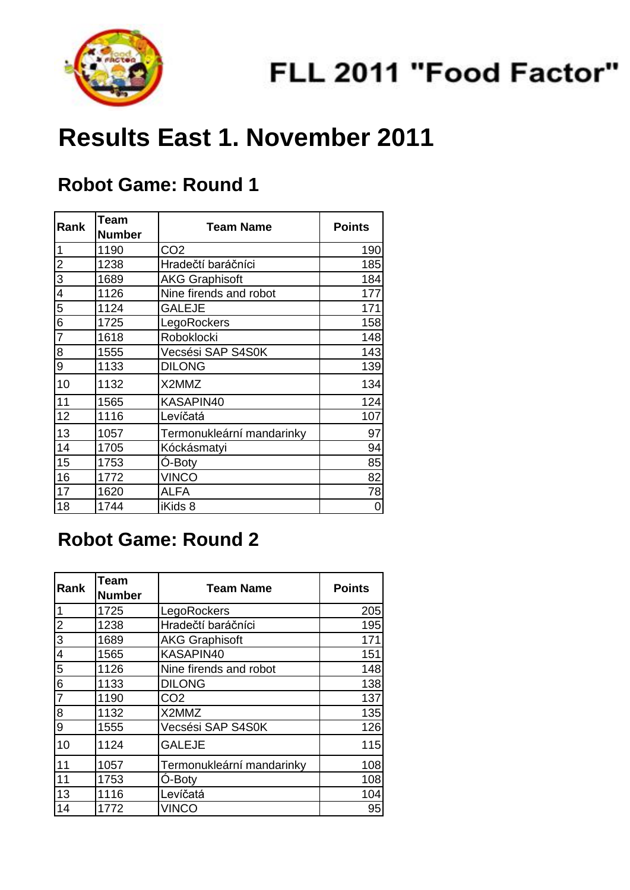

# **Results East 1. November 2011**

#### **Robot Game: Round 1**

| Rank                                          | Team<br><b>Number</b> | <b>Team Name</b>          | <b>Points</b> |
|-----------------------------------------------|-----------------------|---------------------------|---------------|
| $\overline{1}$                                | 1190                  | CO <sub>2</sub>           | 190           |
| $\frac{1}{2}$ o $\frac{1}{2}$ o $\frac{1}{2}$ | 1238                  | Hradečtí baráčníci        | 185           |
|                                               | 1689                  | <b>AKG Graphisoft</b>     | 184           |
|                                               | 1126                  | Nine firends and robot    | 177           |
|                                               | 1124                  | <b>GALEJE</b>             | 171           |
|                                               | 1725                  | LegoRockers               | 158           |
|                                               | 1618                  | Roboklocki                | 148           |
| $\frac{8}{9}$                                 | 1555                  | Vecsési SAP S4S0K         | 143           |
|                                               | 1133                  | <b>DILONG</b>             | 139           |
| 10                                            | 1132                  | X2MMZ                     | 134           |
| 11                                            | 1565                  | KASAPIN40                 | 124           |
| 12                                            | 1116                  | Levíčatá                  | 107           |
| 13                                            | 1057                  | Termonukleární mandarinky | 97            |
| 14                                            | 1705                  | Kóckásmatyi               | 94            |
| 15                                            | 1753                  | O-Boty                    | 85            |
| 16                                            | 1772                  | <b>VINCO</b>              | 82            |
| 17                                            | 1620                  | <b>ALFA</b>               | 78            |
| 18                                            | 1744                  | iKids 8                   | 0             |

#### **Robot Game: Round 2**

| Rank           | <b>Team</b><br><b>Number</b> | <b>Team Name</b>          | <b>Points</b> |
|----------------|------------------------------|---------------------------|---------------|
| 1              | 1725                         | LegoRockers               | 205           |
| $\overline{2}$ | 1238                         | Hradečtí baráčníci        | 195           |
| $\overline{3}$ | 1689                         | <b>AKG Graphisoft</b>     | 171           |
| $\overline{4}$ | 1565                         | KASAPIN40                 | 151           |
| 5              | 1126                         | Nine firends and robot    | 148           |
| 6              | 1133                         | <b>DILONG</b>             | 138           |
| $\overline{7}$ | 1190                         | CO <sub>2</sub>           | 137           |
| 8              | 1132                         | X2MMZ                     | 135           |
| 9              | 1555                         | Vecsési SAP S4S0K         | 126           |
| 10             | 1124                         | <b>GALEJE</b>             | 115           |
| 11             | 1057                         | Termonukleární mandarinky | 108           |
| 11             | 1753                         | O-Boty                    | 108           |
| 13             | 1116                         | Levíčatá                  | 104           |
| 14             | 1772                         | <b>VINCO</b>              | 95            |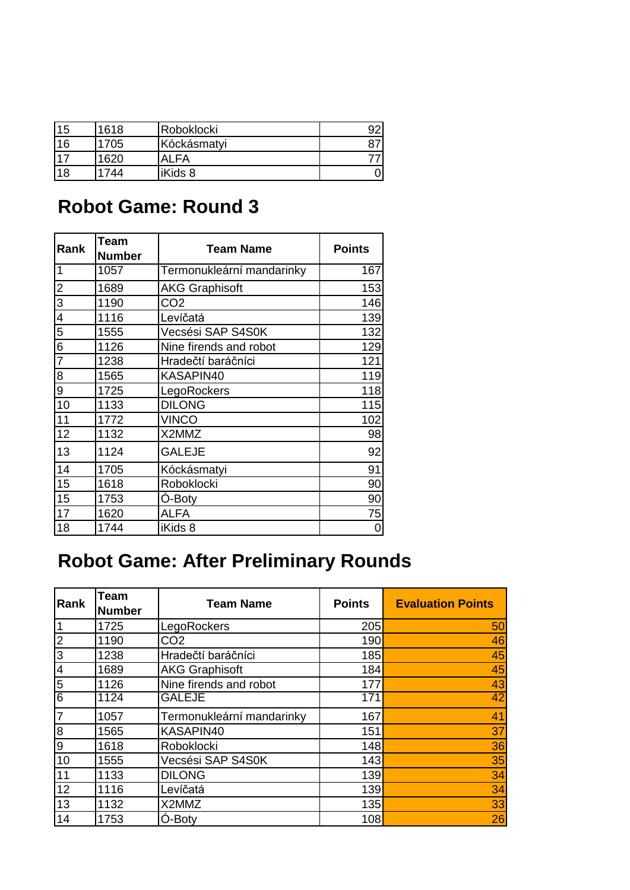| 15     | 1618 | Roboklocki  | מר |
|--------|------|-------------|----|
| 16     | 1705 | Kóckásmatyi |    |
| $-1 -$ | 1620 | AI FA       |    |
| 18     | 744  | iKids 8     |    |

# **Robot Game: Round 3**

| Rank           | <b>Team</b><br><b>Number</b> | <b>Team Name</b>          | <b>Points</b> |
|----------------|------------------------------|---------------------------|---------------|
| $\overline{1}$ | 1057                         | Termonukleární mandarinky | 167           |
|                | 1689                         | <b>AKG Graphisoft</b>     | 153           |
|                | 1190                         | CO <sub>2</sub>           | 146           |
|                | 1116                         | Levíčatá                  | 139           |
|                | 1555                         | Vecsési SAP S4S0K         | 132           |
|                | 1126                         | Nine firends and robot    | 129           |
|                | 1238                         | Hradečtí baráčníci        | 121           |
|                | 1565                         | KASAPIN40                 | 119           |
|                | 1725                         | LegoRockers               | 118           |
| $\boxed{10}$   | 1133                         | <b>DILONG</b>             | 115           |
| 11             | 1772                         | <b>VINCO</b>              | 102           |
| 12             | 1132                         | X2MMZ                     | 98            |
| 13             | 1124                         | <b>GALEJE</b>             | 92            |
| 14             | 1705                         | Kóckásmatyi               | 91            |
| 15             | 1618                         | Roboklocki                | 90            |
| 15             | 1753                         | Ó-Boty                    | 90            |
| 17             | 1620                         | <b>ALFA</b>               | 75            |
| 18             | 1744                         | iKids 8                   | 0             |

# **Robot Game: After Preliminary Rounds**

| Rank             | <b>Team</b><br><b>Number</b> | <b>Team Name</b>          | <b>Points</b> | <b>Evaluation Points</b> |
|------------------|------------------------------|---------------------------|---------------|--------------------------|
| 1                | 1725                         | LegoRockers               | 205           | 50                       |
| $\overline{2}$   | 1190                         | CO <sub>2</sub>           | 190           | 46                       |
| 3                | 1238                         | Hradečtí baráčníci        | 185           | 45                       |
| $\overline{4}$   | 1689                         | <b>AKG Graphisoft</b>     | 184           | 45                       |
| $\overline{5}$   | 1126                         | Nine firends and robot    | 177           | 43                       |
| 6                | 1124                         | <b>GALEJE</b>             | 171           | 42                       |
| $\overline{7}$   | 1057                         | Termonukleární mandarinky | 167           | 41                       |
| 8                | 1565                         | KASAPIN40                 | 151           | 37                       |
| $\boldsymbol{9}$ | 1618                         | Roboklocki                | 148           | 36                       |
| 10               | 1555                         | Vecsési SAP S4S0K         | 143           | 35                       |
| 11               | 1133                         | <b>DILONG</b>             | 139           | 34                       |
| 12               | 1116                         | Levíčatá                  | 139           | 34                       |
| 13               | 1132                         | X2MMZ                     | 135           | 33                       |
| 14               | 1753                         | Ó-Boty                    | 108           | 26                       |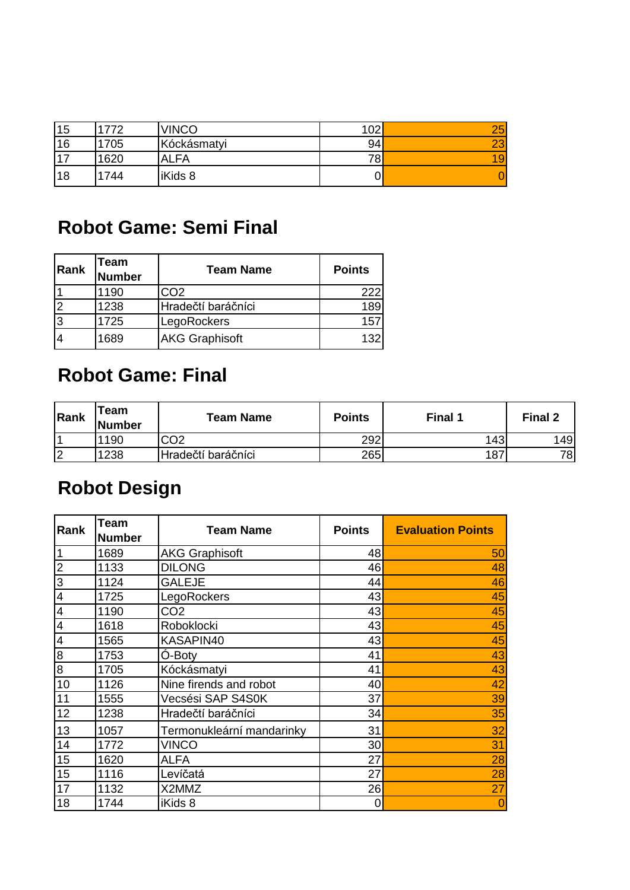| 15    | 772  | <b>VINCO</b> | 102 | 25       |
|-------|------|--------------|-----|----------|
| 16    | 705  | Kóckásmatyi  | 94  | റാ<br>ΔU |
| $-17$ | 1620 | <b>ALFA</b>  | 78. | 19       |
| 18    | 1744 | iKids 8      |     |          |

### **Robot Game: Semi Final**

| Rank | Team<br><b>Number</b> | <b>Team Name</b>      | <b>Points</b> |
|------|-----------------------|-----------------------|---------------|
|      | 1190                  | ာလ2                   | 222           |
|      | 1238                  | Hradečtí baráčníci    | 189           |
| Ι3   | 1725                  | LegoRockers           | 157           |
|      | 1689                  | <b>AKG Graphisoft</b> | 132           |

# **Robot Game: Final**

| Rank | Team<br>Number | <b>Team Name</b>   | <b>Points</b> | Final 1 | Final 2 |
|------|----------------|--------------------|---------------|---------|---------|
|      | 1190           | CO <sub>2</sub>    | 292           | 143     | 149     |
| 12   | 1238           | Hradečtí baráčníci | 265           | 187     | 78      |

# **Robot Design**

| Rank             | Team<br><b>Number</b> | <b>Team Name</b>          | <b>Points</b> | <b>Evaluation Points</b> |
|------------------|-----------------------|---------------------------|---------------|--------------------------|
| $\vert$ 1        | 1689                  | <b>AKG Graphisoft</b>     | 48            | 50                       |
| လ လ              | 1133                  | <b>DILONG</b>             | 46            | 48                       |
|                  | 1124                  | <b>GALEJE</b>             | 44            | 46                       |
| $\overline{4}$   | 1725                  | LegoRockers               | 43            | 45                       |
| $\overline{4}$   | 1190                  | CO <sub>2</sub>           | 43            | 45                       |
| $\overline{4}$   | 1618                  | Roboklocki                | 43            | 45                       |
| $\overline{4}$   | 1565                  | KASAPIN40                 | 43            | 45                       |
| $\boldsymbol{8}$ | 1753                  | Ó-Boty                    | 41            | 43                       |
| $\infty$         | 1705                  | Kóckásmatyi               | 41            | 43                       |
| 10               | 1126                  | Nine firends and robot    | 40            | 42                       |
| 11               | 1555                  | Vecsési SAP S4S0K         | 37            | 39                       |
| 12               | 1238                  | Hradečtí baráčníci        | 34            | 35                       |
| 13               | 1057                  | Termonukleární mandarinky | 31            | 32                       |
| 14               | 1772                  | <b>VINCO</b>              | 30            | 31                       |
| 15               | 1620                  | ALFA                      | 27            | 28                       |
| 15               | 1116                  | Levíčatá                  | 27            | 28                       |
| 17               | 1132                  | X2MMZ                     | 26            | 27                       |
| 18               | 1744                  | iKids 8                   | 0             | $\overline{0}$           |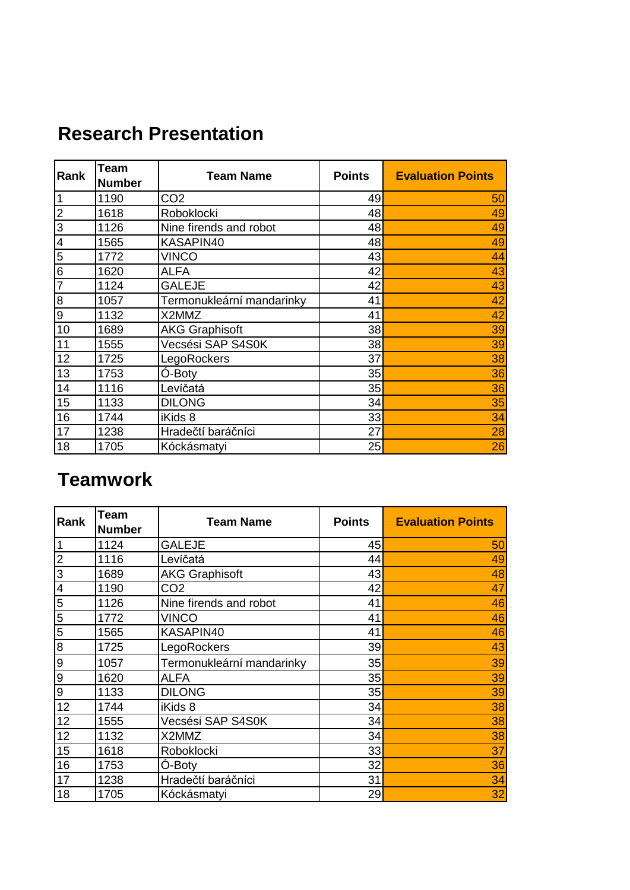| Rank                     | <b>Team</b><br><b>Number</b> | <b>Team Name</b>          | <b>Points</b> | <b>Evaluation Points</b> |
|--------------------------|------------------------------|---------------------------|---------------|--------------------------|
| $\mathbf{1}$             | 1190                         | CO <sub>2</sub>           | 49            | 50                       |
| $\overline{2}$           | 1618                         | Roboklocki                | 48            | 49                       |
| $\overline{3}$           | 1126                         | Nine firends and robot    | 48            | 49                       |
| $\overline{\mathcal{L}}$ | 1565                         | KASAPIN40                 | 48            | 49                       |
| $\overline{5}$           | 1772                         | <b>VINCO</b>              | 43            | 44                       |
| 6                        | 1620                         | <b>ALFA</b>               | 42            | 43                       |
| $\overline{7}$           | 1124                         | <b>GALEJE</b>             | 42            | 43                       |
| 8                        | 1057                         | Termonukleární mandarinky | 41            | 42                       |
| 9                        | 1132                         | X2MMZ                     | 41            | 42                       |
| 10                       | 1689                         | <b>AKG Graphisoft</b>     | 38            | 39                       |
| 11                       | 1555                         | Vecsési SAP S4S0K         | 38            | 39                       |
| 12                       | 1725                         | LegoRockers               | 37            | 38                       |
| 13                       | 1753                         | Ó-Boty                    | 35            | 36                       |
| 14                       | 1116                         | Levíčatá                  | 35            | 36                       |
| 15                       | 1133                         | <b>DILONG</b>             | 34            | 35                       |

## **Research Presentation**

#### **Teamwork**

| Rank            | <b>Team</b><br><b>Number</b> | <b>Team Name</b>          | <b>Points</b> | <b>Evaluation Points</b> |
|-----------------|------------------------------|---------------------------|---------------|--------------------------|
| $\vert$ 1       | 1124                         | <b>GALEJE</b>             | 45            | 50                       |
| $\overline{2}$  | 1116                         | Levíčatá                  | 44            | 49                       |
| $\overline{3}$  | 1689                         | <b>AKG Graphisoft</b>     | 43            | 48                       |
| $\overline{4}$  | 1190                         | CO2                       | 42            | 47                       |
| 5               | 1126                         | Nine firends and robot    | 41            | 46                       |
| $5\overline{)}$ | 1772                         | <b>VINCO</b>              | 41            | 46                       |
| <u>ဩ</u>        | 1565                         | KASAPIN40                 | 41            | 46                       |
| 8               | 1725                         | LegoRockers               | 39            | 43                       |
| $\overline{9}$  | 1057                         | Termonukleární mandarinky | 35            | 39                       |
| $\overline{9}$  | 1620                         | <b>ALFA</b>               | 35            | 39                       |
| $\overline{9}$  | 1133                         | <b>DILONG</b>             | 35            | 39                       |
| 12              | 1744                         | iKids 8                   | 34            | 38                       |
| 12              | 1555                         | Vecsési SAP S4S0K         | 34            | 38                       |
| 12              | 1132                         | X2MMZ                     | 34            | 38                       |
| 15              | 1618                         | Roboklocki                | 33            | 37                       |
| 16              | 1753                         | O-Boty                    | 32            | 36                       |
| 17              | 1238                         | Hradečtí baráčníci        | 31            | 34                       |
| 18              | 1705                         | Kóckásmatyi               | 29            | 32                       |

 1744 iKids 8 33 34 1238 Hradečtí baráčníci 27 28 Kóckásmatyi 25